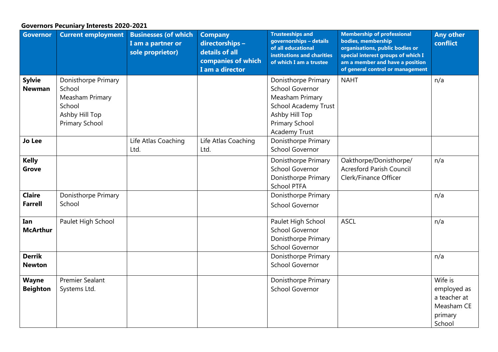## **Governors Pecuniary Interests 2020-2021**

| <b>Governor</b>                 | <b>Current employment</b>                                                                             | <b>Businesses (of which</b><br>I am a partner or<br>sole proprietor) | <b>Company</b><br>directorships -<br>details of all<br>companies of which<br>I am a director | <b>Trusteeships and</b><br>governorships - details<br>of all educational<br>institutions and charities<br>of which I am a trustee                                  | <b>Membership of professional</b><br>bodies, membership<br>organisations, public bodies or<br>special interest groups of which I<br>am a member and have a position<br>of general control or management | <b>Any other</b><br>conflict                                              |
|---------------------------------|-------------------------------------------------------------------------------------------------------|----------------------------------------------------------------------|----------------------------------------------------------------------------------------------|--------------------------------------------------------------------------------------------------------------------------------------------------------------------|---------------------------------------------------------------------------------------------------------------------------------------------------------------------------------------------------------|---------------------------------------------------------------------------|
| <b>Sylvie</b><br><b>Newman</b>  | Donisthorpe Primary<br>School<br>Measham Primary<br>School<br>Ashby Hill Top<br><b>Primary School</b> |                                                                      |                                                                                              | Donisthorpe Primary<br><b>School Governor</b><br>Measham Primary<br><b>School Academy Trust</b><br>Ashby Hill Top<br><b>Primary School</b><br><b>Academy Trust</b> | <b>NAHT</b>                                                                                                                                                                                             | n/a                                                                       |
| <b>Jo Lee</b>                   |                                                                                                       | Life Atlas Coaching<br>Ltd.                                          | Life Atlas Coaching<br>Ltd.                                                                  | Donisthorpe Primary<br><b>School Governor</b>                                                                                                                      |                                                                                                                                                                                                         |                                                                           |
| <b>Kelly</b><br><b>Grove</b>    |                                                                                                       |                                                                      |                                                                                              | Donisthorpe Primary<br><b>School Governor</b><br>Donisthorpe Primary<br><b>School PTFA</b>                                                                         | Oakthorpe/Donisthorpe/<br><b>Acresford Parish Council</b><br>Clerk/Finance Officer                                                                                                                      | n/a                                                                       |
| <b>Claire</b><br><b>Farrell</b> | Donisthorpe Primary<br>School                                                                         |                                                                      |                                                                                              | Donisthorpe Primary<br><b>School Governor</b>                                                                                                                      |                                                                                                                                                                                                         | n/a                                                                       |
| Ian<br><b>McArthur</b>          | Paulet High School                                                                                    |                                                                      |                                                                                              | Paulet High School<br><b>School Governor</b><br>Donisthorpe Primary<br><b>School Governor</b>                                                                      | <b>ASCL</b>                                                                                                                                                                                             | n/a                                                                       |
| <b>Derrik</b><br><b>Newton</b>  |                                                                                                       |                                                                      |                                                                                              | Donisthorpe Primary<br><b>School Governor</b>                                                                                                                      |                                                                                                                                                                                                         | n/a                                                                       |
| <b>Wayne</b><br><b>Beighton</b> | <b>Premier Sealant</b><br>Systems Ltd.                                                                |                                                                      |                                                                                              | Donisthorpe Primary<br><b>School Governor</b>                                                                                                                      |                                                                                                                                                                                                         | Wife is<br>employed as<br>a teacher at<br>Measham CE<br>primary<br>School |